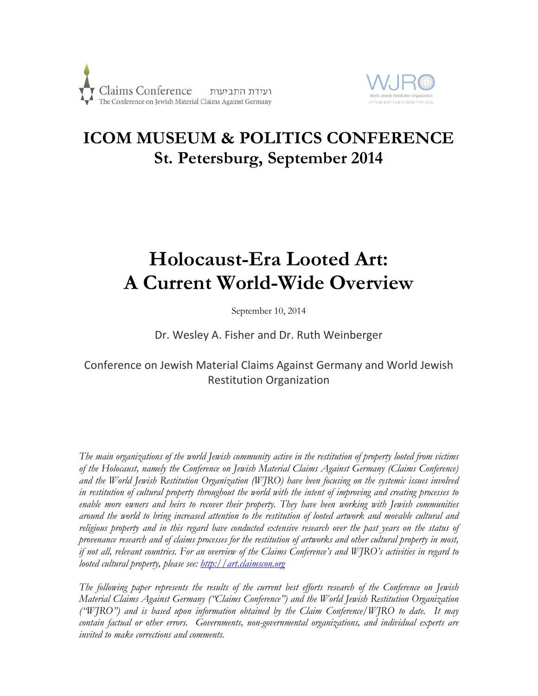



## **ICOM MUSEUM & POLITICS CONFERENCE St. Petersburg, September 2014**

# **Holocaust-Era Looted Art: A Current World-Wide Overview**

September 10, 2014

Dr. Wesley A. Fisher and Dr. Ruth Weinberger

### Conference on Jewish Material Claims Against Germany and World Jewish Restitution Organization

*The main organizations of the world Jewish community active in the restitution of property looted from victims of the Holocaust, namely the Conference on Jewish Material Claims Against Germany (Claims Conference) and the World Jewish Restitution Organization (WJRO) have been focusing on the systemic issues involved in restitution of cultural property throughout the world with the intent of improving and creating processes to enable more owners and heirs to recover their property. They have been working with Jewish communities around the world to bring increased attention to the restitution of looted artwork and movable cultural and religious property and in this regard have conducted extensive research over the past years on the status of provenance research and of claims processes for the restitution of artworks and other cultural property in most, if not all, relevant countries. For an overview of the Claims Conference's and WJRO's activities in regard to looted cultural property, please see: [http://art.claimscon.org](http://art.claimscon.org/)*

*The following paper represents the results of the current best efforts research of the Conference on Jewish Material Claims Against Germany ("Claims Conference") and the World Jewish Restitution Organization ("WJRO") and is based upon information obtained by the Claim Conference/WJRO to date. It may contain factual or other errors. Governments, non-governmental organizations, and individual experts are invited to make corrections and comments.*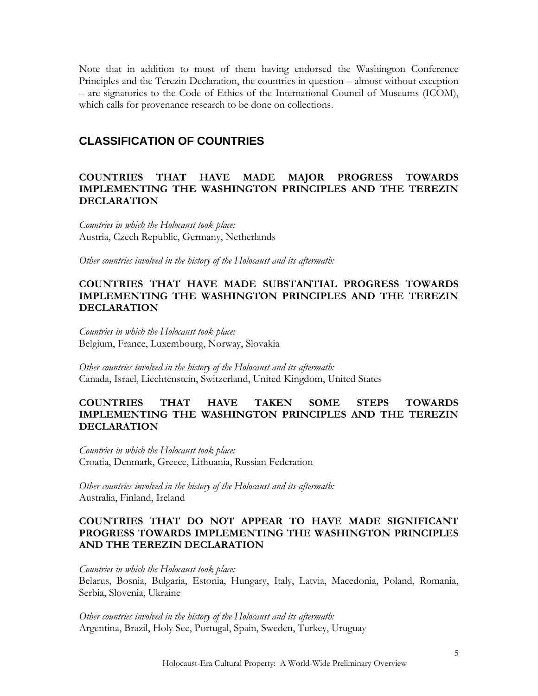Note that in addition to most of them having endorsed the Washington Conference Principles and the Terezin Declaration, the countries in question – almost without exception – are signatories to the Code of Ethics of the International Council of Museums (ICOM), which calls for provenance research to be done on collections.

#### **CLASSIFICATION OF COUNTRIES**

#### **COUNTRIES THAT HAVE MADE MAJOR PROGRESS TOWARDS IMPLEMENTING THE WASHINGTON PRINCIPLES AND THE TEREZIN DECLARATION**

*Countries in which the Holocaust took place:* Austria, Czech Republic, Germany, Netherlands

*Other countries involved in the history of the Holocaust and its aftermath:*

#### **COUNTRIES THAT HAVE MADE SUBSTANTIAL PROGRESS TOWARDS IMPLEMENTING THE WASHINGTON PRINCIPLES AND THE TEREZIN DECLARATION**

*Countries in which the Holocaust took place:* Belgium, France, Luxembourg, Norway, Slovakia

*Other countries involved in the history of the Holocaust and its aftermath:* Canada, Israel, Liechtenstein, Switzerland, United Kingdom, United States

#### **COUNTRIES THAT HAVE TAKEN SOME STEPS TOWARDS IMPLEMENTING THE WASHINGTON PRINCIPLES AND THE TEREZIN DECLARATION**

*Countries in which the Holocaust took place:* Croatia, Denmark, Greece, Lithuania, Russian Federation

*Other countries involved in the history of the Holocaust and its aftermath:* Australia, Finland, Ireland

#### **COUNTRIES THAT DO NOT APPEAR TO HAVE MADE SIGNIFICANT PROGRESS TOWARDS IMPLEMENTING THE WASHINGTON PRINCIPLES AND THE TEREZIN DECLARATION**

*Countries in which the Holocaust took place:*

Belarus, Bosnia, Bulgaria, Estonia, Hungary, Italy, Latvia, Macedonia, Poland, Romania, Serbia, Slovenia, Ukraine

*Other countries involved in the history of the Holocaust and its aftermath:* Argentina, Brazil, Holy See, Portugal, Spain, Sweden, Turkey, Uruguay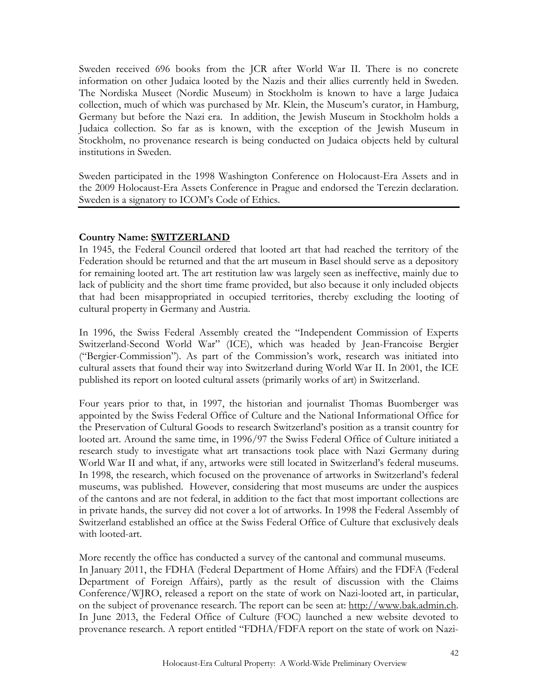Sweden received 696 books from the JCR after World War II. There is no concrete information on other Judaica looted by the Nazis and their allies currently held in Sweden. The Nordiska Museet (Nordic Museum) in Stockholm is known to have a large Judaica collection, much of which was purchased by Mr. Klein, the Museum's curator, in Hamburg, Germany but before the Nazi era. In addition, the Jewish Museum in Stockholm holds a Judaica collection. So far as is known, with the exception of the Jewish Museum in Stockholm, no provenance research is being conducted on Judaica objects held by cultural institutions in Sweden.

Sweden participated in the 1998 Washington Conference on Holocaust-Era Assets and in the 2009 Holocaust-Era Assets Conference in Prague and endorsed the Terezin declaration. Sweden is a signatory to ICOM's Code of Ethics.

#### **Country Name: SWITZERLAND**

In 1945, the Federal Council ordered that looted art that had reached the territory of the Federation should be returned and that the art museum in Basel should serve as a depository for remaining looted art. The art restitution law was largely seen as ineffective, mainly due to lack of publicity and the short time frame provided, but also because it only included objects that had been misappropriated in occupied territories, thereby excluding the looting of cultural property in Germany and Austria.

In 1996, the Swiss Federal Assembly created the "Independent Commission of Experts Switzerland-Second World War" (ICE), which was headed by Jean-Francoise Bergier ("Bergier-Commission"). As part of the Commission's work, research was initiated into cultural assets that found their way into Switzerland during World War II. In 2001, the ICE published its report on looted cultural assets (primarily works of art) in Switzerland.

Four years prior to that, in 1997, the historian and journalist Thomas Buomberger was appointed by the Swiss Federal Office of Culture and the National Informational Office for the Preservation of Cultural Goods to research Switzerland's position as a transit country for looted art. Around the same time, in 1996/97 the Swiss Federal Office of Culture initiated a research study to investigate what art transactions took place with Nazi Germany during World War II and what, if any, artworks were still located in Switzerland's federal museums. In 1998, the research, which focused on the provenance of artworks in Switzerland's federal museums, was published. However, considering that most museums are under the auspices of the cantons and are not federal, in addition to the fact that most important collections are in private hands, the survey did not cover a lot of artworks. In 1998 the Federal Assembly of Switzerland established an office at the Swiss Federal Office of Culture that exclusively deals with looted-art.

More recently the office has conducted a survey of the cantonal and communal museums. In January 2011, the FDHA (Federal Department of Home Affairs) and the FDFA (Federal Department of Foreign Affairs), partly as the result of discussion with the Claims Conference/WJRO, released a report on the state of work on Nazi-looted art, in particular, on the subject of provenance research. The report can be seen at: [http://www.bak.admin.ch.](http://www.bak.admin.ch/themen/raubkunst/index.html?lang=en) In June 2013, the Federal Office of Culture (FOC) launched a new website devoted to provenance research. A report entitled "FDHA/FDFA report on the state of work on Nazi